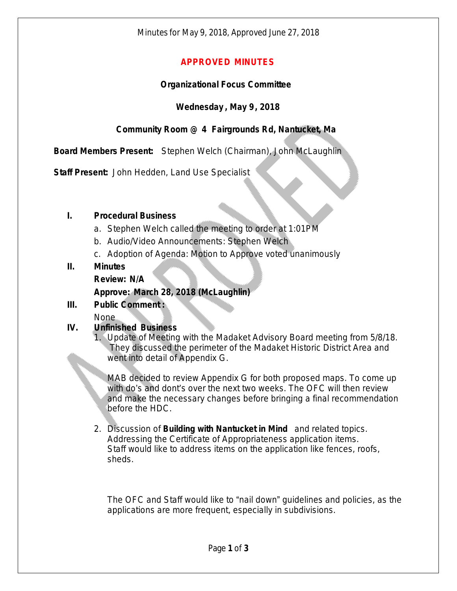## **APPROVED MINUTES**

### **Organizational Focus Committee**

### **Wednesday , May 9, 2018**

# **Community Room @ 4 Fairgrounds Rd, Nantucket, Ma**

**Board Members Present:** Stephen Welch (Chairman), John McLaughlin

**Staff Present:** John Hedden, Land Use Specialist

#### **I. Procedural Business**

- a. Stephen Welch called the meeting to order at 1:01PM
- b. Audio/Video Announcements: Stephen Welch
- c. Adoption of Agenda: Motion to Approve voted unanimously

#### **II. Minutes**

**Review: N/A**

### **Approve: March 28, 2018 (McLaughlin)**

# **III. Public Comment :**

None

#### **IV. Unfinished Business**

1. Update of Meeting with the Madaket Advisory Board meeting from 5/8/18. They discussed the perimeter of the Madaket Historic District Area and went into detail of Appendix G.

MAB decided to review Appendix G for both proposed maps. To come up with do's and dont's over the next two weeks. The OFC will then review and make the necessary changes before bringing a final recommendation before the HDC.

2. Discussion of **Building with Nantucket in Mind** and related topics. Addressing the Certificate of Appropriateness application items. Staff would like to address items on the application like fences, roofs, sheds.

The OFC and Staff would like to "nail down" guidelines and policies, as the applications are more frequent, especially in subdivisions.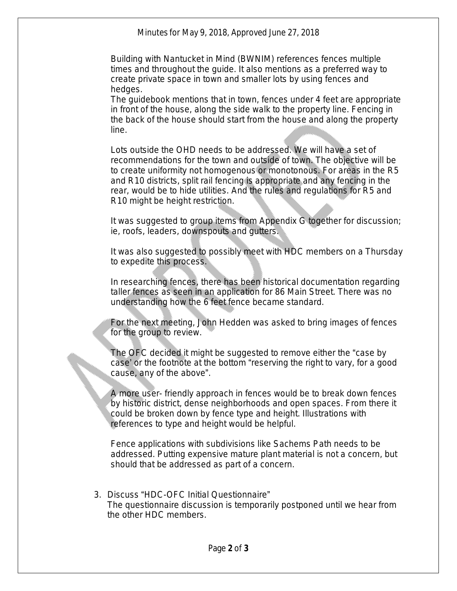Minutes for May 9, 2018, Approved June 27, 2018

Building with Nantucket in Mind (BWNIM) references fences multiple times and throughout the guide. It also mentions as a preferred way to create private space in town and smaller lots by using fences and hedges.

The guidebook mentions that in town, fences under 4 feet are appropriate in front of the house, along the side walk to the property line. Fencing in the back of the house should start from the house and along the property line.

Lots outside the OHD needs to be addressed. We will have a set of recommendations for the town and outside of town. The objective will be to create uniformity not homogenous or monotonous. For areas in the R5 and R10 districts, split rail fencing is appropriate and any fencing in the rear, would be to hide utilities. And the rules and regulations for R5 and R10 might be height restriction.

It was suggested to group items from Appendix G together for discussion; ie, roofs, leaders, downspouts and gutters.

It was also suggested to possibly meet with HDC members on a Thursday to expedite this process.

In researching fences, there has been historical documentation regarding taller fences as seen in an application for 86 Main Street. There was no understanding how the 6 feet fence became standard.

For the next meeting, John Hedden was asked to bring images of fences for the group to review.

The OFC decided it might be suggested to remove either the "case by case' or the footnote at the bottom "reserving the right to vary, for a good cause, any of the above".

A more user- friendly approach in fences would be to break down fences by historic district, dense neighborhoods and open spaces. From there it could be broken down by fence type and height. Illustrations with references to type and height would be helpful.

Fence applications with subdivisions like Sachems Path needs to be addressed. Putting expensive mature plant material is not a concern, but should that be addressed as part of a concern.

3. Discuss "HDC-OFC Initial Questionnaire" The questionnaire discussion is temporarily postponed until we hear from the other HDC members.